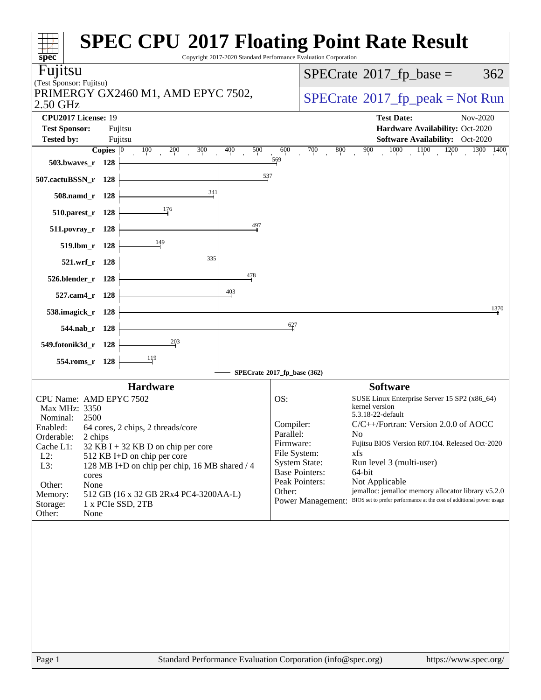| <b>SPEC CPU®2017 Floating Point Rate Result</b><br>$spec^*$                         | Copyright 2017-2020 Standard Performance Evaluation Corporation |                                                                                                              |
|-------------------------------------------------------------------------------------|-----------------------------------------------------------------|--------------------------------------------------------------------------------------------------------------|
| Fujitsu                                                                             |                                                                 | $SPECrate^{\circ}2017$ _fp_base =<br>362                                                                     |
| (Test Sponsor: Fujitsu)                                                             |                                                                 |                                                                                                              |
| PRIMERGY GX2460 M1, AMD EPYC 7502,<br>2.50 GHz                                      |                                                                 | $SPECrate^{\circ}2017rfp peak = Not Run$                                                                     |
| CPU2017 License: 19                                                                 |                                                                 | <b>Test Date:</b><br>Nov-2020                                                                                |
| <b>Test Sponsor:</b><br>Fujitsu                                                     |                                                                 | Hardware Availability: Oct-2020                                                                              |
| <b>Tested by:</b><br>Fujitsu<br>300<br>400<br>Copies $ 0\rangle$<br>100<br>200      | 500<br>600<br>700                                               | Software Availability: Oct-2020<br>1000<br>1100<br>1200<br>900<br>800<br>$\overline{1300}$ $\overline{1400}$ |
| 503.bwaves_r 128                                                                    | 569                                                             |                                                                                                              |
| 507.cactuBSSN_r 128                                                                 | 537                                                             |                                                                                                              |
| 341<br>508.namd_r 128                                                               |                                                                 |                                                                                                              |
| 176<br>510.parest_r 128                                                             |                                                                 |                                                                                                              |
| 511.povray_r 128                                                                    | 497                                                             |                                                                                                              |
| 149<br>519.lbm_r 128                                                                |                                                                 |                                                                                                              |
| 335<br>521.wrf_r 128                                                                |                                                                 |                                                                                                              |
| 526.blender_r 128                                                                   | 478                                                             |                                                                                                              |
| $\frac{403}{4}$<br>527.cam4_r 128                                                   |                                                                 |                                                                                                              |
| 538.imagick_r 128                                                                   |                                                                 | 1370                                                                                                         |
| 544.nab_r 128                                                                       | 627                                                             |                                                                                                              |
| 203<br>549.fotonik3d_r 128                                                          |                                                                 |                                                                                                              |
| 119<br>554.roms_r 128                                                               |                                                                 |                                                                                                              |
|                                                                                     | SPECrate®2017_fp_base (362)                                     |                                                                                                              |
| <b>Hardware</b>                                                                     |                                                                 | <b>Software</b>                                                                                              |
| CPU Name: AMD EPYC 7502                                                             | OS:                                                             | SUSE Linux Enterprise Server 15 SP2 (x86_64)<br>kernel version                                               |
| Max MHz: 3350<br>Nominal:<br>2500                                                   |                                                                 | 5.3.18-22-default                                                                                            |
| Enabled: 64 cores, 2 chips, 2 threads/core                                          | Compiler:                                                       | C/C++/Fortran: Version 2.0.0 of AOCC                                                                         |
| Orderable:<br>2 chips                                                               | Parallel:<br>Firmware:                                          | N <sub>0</sub><br>Fujitsu BIOS Version R07.104. Released Oct-2020                                            |
| Cache L1:<br>32 KB I + 32 KB D on chip per core<br>$L2$ :                           | File System:                                                    | xfs                                                                                                          |
| 512 KB I+D on chip per core<br>L3:<br>128 MB I+D on chip per chip, 16 MB shared / 4 | <b>System State:</b>                                            | Run level 3 (multi-user)                                                                                     |
| cores                                                                               | <b>Base Pointers:</b>                                           | 64-bit                                                                                                       |
| Other:<br>None                                                                      | Peak Pointers:<br>Other:                                        | Not Applicable<br>jemalloc: jemalloc memory allocator library v5.2.0                                         |
| 512 GB (16 x 32 GB 2Rx4 PC4-3200AA-L)<br>Memory:                                    | <b>Power Management:</b>                                        | BIOS set to prefer performance at the cost of additional power usage                                         |
| Storage:<br>1 x PCIe SSD, 2TB<br>Other:<br>None                                     |                                                                 |                                                                                                              |
|                                                                                     |                                                                 |                                                                                                              |
| Standard Performance Evaluation Corporation (info@spec.org)<br>Page 1               |                                                                 | https://www.spec.org/                                                                                        |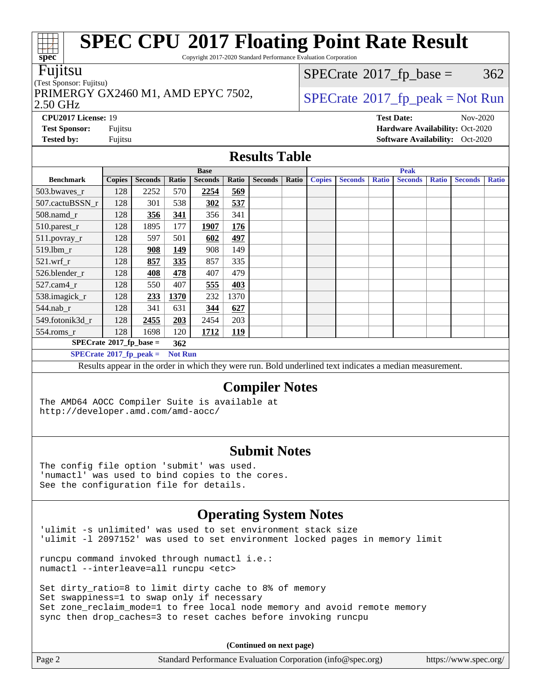Copyright 2017-2020 Standard Performance Evaluation Corporation

### Fujitsu

**[spec](http://www.spec.org/)**

 $+\ +$ 

(Test Sponsor: Fujitsu) PRIMERGY GX2460 M1, AMD EPYC 7502,  $\vert$  [SPECrate](http://www.spec.org/auto/cpu2017/Docs/result-fields.html#SPECrate2017fppeak)®[2017\\_fp\\_peak = N](http://www.spec.org/auto/cpu2017/Docs/result-fields.html#SPECrate2017fppeak)ot Run

 $SPECTate$ <sup>®</sup>[2017\\_fp\\_base =](http://www.spec.org/auto/cpu2017/Docs/result-fields.html#SPECrate2017fpbase) 362

### 2.50 GHz

**[Test Sponsor:](http://www.spec.org/auto/cpu2017/Docs/result-fields.html#TestSponsor)** Fujitsu **[Hardware Availability:](http://www.spec.org/auto/cpu2017/Docs/result-fields.html#HardwareAvailability)** Oct-2020

**[Tested by:](http://www.spec.org/auto/cpu2017/Docs/result-fields.html#Testedby)** Fujitsu **Fugital Exception Contract Contract Contract Contract Contract Contract Contract Contract Contract Contract Contract Contract Contract Contract Contract Contract Contract Contract Contract Contract Co** 

**[CPU2017 License:](http://www.spec.org/auto/cpu2017/Docs/result-fields.html#CPU2017License)** 19 **[Test Date:](http://www.spec.org/auto/cpu2017/Docs/result-fields.html#TestDate)** Nov-2020

**[Results Table](http://www.spec.org/auto/cpu2017/Docs/result-fields.html#ResultsTable)**

|                                         |               |                |                | <b>Base</b>    |            |                |       | <b>Peak</b>   |                |              |                |              |                |              |
|-----------------------------------------|---------------|----------------|----------------|----------------|------------|----------------|-------|---------------|----------------|--------------|----------------|--------------|----------------|--------------|
| <b>Benchmark</b>                        | <b>Copies</b> | <b>Seconds</b> | Ratio          | <b>Seconds</b> | Ratio      | <b>Seconds</b> | Ratio | <b>Copies</b> | <b>Seconds</b> | <b>Ratio</b> | <b>Seconds</b> | <b>Ratio</b> | <b>Seconds</b> | <b>Ratio</b> |
| 503.bwayes r                            | 128           | 2252           | 570            | 2254           | 569        |                |       |               |                |              |                |              |                |              |
| 507.cactuBSSN r                         | 128           | 301            | 538            | 302            | 537        |                |       |               |                |              |                |              |                |              |
| 508.namd_r                              | 128           | 356            | 341            | 356            | 341        |                |       |               |                |              |                |              |                |              |
| 510.parest_r                            | 128           | 1895           | 177            | 1907           | 176        |                |       |               |                |              |                |              |                |              |
| 511.povray_r                            | 128           | 597            | 501            | 602            | <u>497</u> |                |       |               |                |              |                |              |                |              |
| $519.1$ bm r                            | 128           | 908            | 149            | 908            | 149        |                |       |               |                |              |                |              |                |              |
| $521$ .wrf r                            | 128           | 857            | 335            | 857            | 335        |                |       |               |                |              |                |              |                |              |
| 526.blender_r                           | 128           | 408            | 478            | 407            | 479        |                |       |               |                |              |                |              |                |              |
| $527$ .cam $4r$                         | 128           | 550            | 407            | 555            | 403        |                |       |               |                |              |                |              |                |              |
| 538.imagick_r                           | 128           | 233            | 1370           | 232            | 1370       |                |       |               |                |              |                |              |                |              |
| $544$ .nab_r                            | 128           | 341            | 631            | 344            | 627        |                |       |               |                |              |                |              |                |              |
| 549.fotonik3d r                         | 128           | 2455           | 203            | 2454           | 203        |                |       |               |                |              |                |              |                |              |
| $554$ .roms_r                           | 128           | 1698           | 120            | 1712           | <b>119</b> |                |       |               |                |              |                |              |                |              |
| $SPECrate^{\circ}2017$ fp base =<br>362 |               |                |                |                |            |                |       |               |                |              |                |              |                |              |
| $SPECrate^{\circ}2017$ fp peak =        |               |                | <b>Not Run</b> |                |            |                |       |               |                |              |                |              |                |              |

Results appear in the [order in which they were run](http://www.spec.org/auto/cpu2017/Docs/result-fields.html#RunOrder). Bold underlined text [indicates a median measurement.](http://www.spec.org/auto/cpu2017/Docs/result-fields.html#Median)

### **[Compiler Notes](http://www.spec.org/auto/cpu2017/Docs/result-fields.html#CompilerNotes)**

The AMD64 AOCC Compiler Suite is available at <http://developer.amd.com/amd-aocc/>

### **[Submit Notes](http://www.spec.org/auto/cpu2017/Docs/result-fields.html#SubmitNotes)**

The config file option 'submit' was used. 'numactl' was used to bind copies to the cores. See the configuration file for details.

### **[Operating System Notes](http://www.spec.org/auto/cpu2017/Docs/result-fields.html#OperatingSystemNotes)**

'ulimit -s unlimited' was used to set environment stack size 'ulimit -l 2097152' was used to set environment locked pages in memory limit

runcpu command invoked through numactl i.e.: numactl --interleave=all runcpu <etc>

Set dirty\_ratio=8 to limit dirty cache to 8% of memory Set swappiness=1 to swap only if necessary Set zone\_reclaim\_mode=1 to free local node memory and avoid remote memory sync then drop\_caches=3 to reset caches before invoking runcpu

**(Continued on next page)**

| Standard Performance Evaluation Corporation (info@spec.org)<br>Page 2<br>https://www.spec.org/ |  |
|------------------------------------------------------------------------------------------------|--|
|------------------------------------------------------------------------------------------------|--|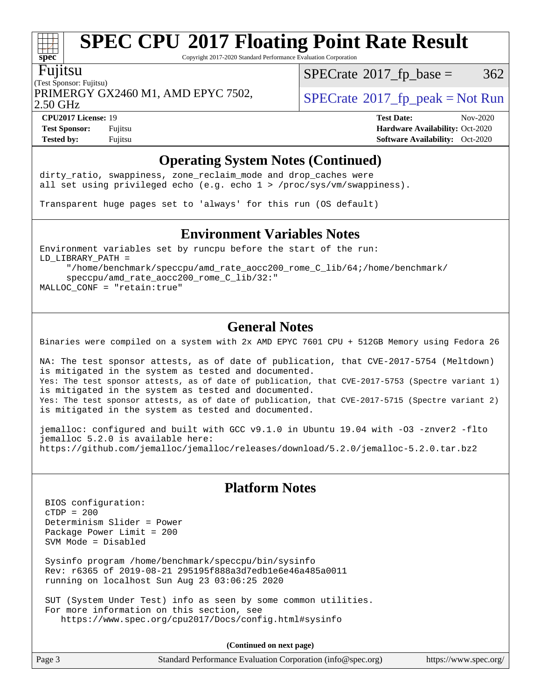Copyright 2017-2020 Standard Performance Evaluation Corporation

### Fujitsu

**[spec](http://www.spec.org/)**

(Test Sponsor: Fujitsu) PRIMERGY GX2460 M1, AMD EPYC 7502,  $\vert$  [SPECrate](http://www.spec.org/auto/cpu2017/Docs/result-fields.html#SPECrate2017fppeak) 2017 fp peak = Not Run

 $SPECTate@2017_fp\_base = 362$ 

2.50 GHz

**[CPU2017 License:](http://www.spec.org/auto/cpu2017/Docs/result-fields.html#CPU2017License)** 19 **[Test Date:](http://www.spec.org/auto/cpu2017/Docs/result-fields.html#TestDate)** Nov-2020 **[Test Sponsor:](http://www.spec.org/auto/cpu2017/Docs/result-fields.html#TestSponsor)** Fujitsu **[Hardware Availability:](http://www.spec.org/auto/cpu2017/Docs/result-fields.html#HardwareAvailability)** Oct-2020 **[Tested by:](http://www.spec.org/auto/cpu2017/Docs/result-fields.html#Testedby)** Fujitsu **[Software Availability:](http://www.spec.org/auto/cpu2017/Docs/result-fields.html#SoftwareAvailability)** Oct-2020

## **[Operating System Notes \(Continued\)](http://www.spec.org/auto/cpu2017/Docs/result-fields.html#OperatingSystemNotes)**

dirty\_ratio, swappiness, zone\_reclaim\_mode and drop caches were all set using privileged echo (e.g. echo 1 > /proc/sys/vm/swappiness).

Transparent huge pages set to 'always' for this run (OS default)

### **[Environment Variables Notes](http://www.spec.org/auto/cpu2017/Docs/result-fields.html#EnvironmentVariablesNotes)**

Environment variables set by runcpu before the start of the run: LD\_LIBRARY\_PATH = "/home/benchmark/speccpu/amd\_rate\_aocc200\_rome\_C\_lib/64;/home/benchmark/

 speccpu/amd\_rate\_aocc200\_rome\_C\_lib/32:" MALLOC\_CONF = "retain:true"

## **[General Notes](http://www.spec.org/auto/cpu2017/Docs/result-fields.html#GeneralNotes)**

Binaries were compiled on a system with 2x AMD EPYC 7601 CPU + 512GB Memory using Fedora 26

NA: The test sponsor attests, as of date of publication, that CVE-2017-5754 (Meltdown) is mitigated in the system as tested and documented. Yes: The test sponsor attests, as of date of publication, that CVE-2017-5753 (Spectre variant 1) is mitigated in the system as tested and documented. Yes: The test sponsor attests, as of date of publication, that CVE-2017-5715 (Spectre variant 2) is mitigated in the system as tested and documented.

jemalloc: configured and built with GCC v9.1.0 in Ubuntu 19.04 with -O3 -znver2 -flto jemalloc 5.2.0 is available here: <https://github.com/jemalloc/jemalloc/releases/download/5.2.0/jemalloc-5.2.0.tar.bz2>

## **[Platform Notes](http://www.spec.org/auto/cpu2017/Docs/result-fields.html#PlatformNotes)**

 BIOS configuration: cTDP = 200 Determinism Slider = Power Package Power Limit = 200 SVM Mode = Disabled

 Sysinfo program /home/benchmark/speccpu/bin/sysinfo Rev: r6365 of 2019-08-21 295195f888a3d7edb1e6e46a485a0011 running on localhost Sun Aug 23 03:06:25 2020

 SUT (System Under Test) info as seen by some common utilities. For more information on this section, see <https://www.spec.org/cpu2017/Docs/config.html#sysinfo>

**(Continued on next page)**

| Page 3<br>Standard Performance Evaluation Corporation (info@spec.org) | https://www.spec.org/ |
|-----------------------------------------------------------------------|-----------------------|
|-----------------------------------------------------------------------|-----------------------|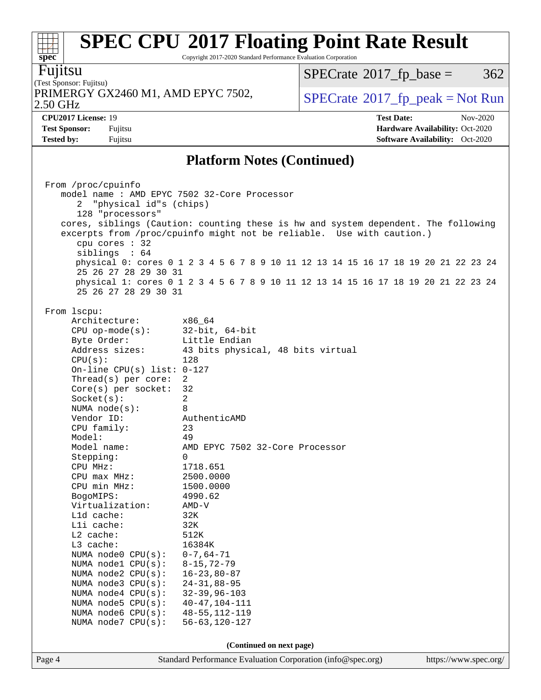Copyright 2017-2020 Standard Performance Evaluation Corporation

**[spec](http://www.spec.org/)** Fujitsu

#### (Test Sponsor: Fujitsu) 2.50 GHz PRIMERGY GX2460 M1, AMD EPYC 7502,  $\vert$  [SPECrate](http://www.spec.org/auto/cpu2017/Docs/result-fields.html#SPECrate2017fppeak) [2017\\_fp\\_peak = N](http://www.spec.org/auto/cpu2017/Docs/result-fields.html#SPECrate2017fppeak)ot Run

 $SPECTate@2017_fp\_base = 362$ 

**[Tested by:](http://www.spec.org/auto/cpu2017/Docs/result-fields.html#Testedby)** Fujitsu **[Software Availability:](http://www.spec.org/auto/cpu2017/Docs/result-fields.html#SoftwareAvailability)** Oct-2020

**[CPU2017 License:](http://www.spec.org/auto/cpu2017/Docs/result-fields.html#CPU2017License)** 19 **[Test Date:](http://www.spec.org/auto/cpu2017/Docs/result-fields.html#TestDate)** Nov-2020 **[Test Sponsor:](http://www.spec.org/auto/cpu2017/Docs/result-fields.html#TestSponsor)** Fujitsu **[Hardware Availability:](http://www.spec.org/auto/cpu2017/Docs/result-fields.html#HardwareAvailability)** Oct-2020

### **[Platform Notes \(Continued\)](http://www.spec.org/auto/cpu2017/Docs/result-fields.html#PlatformNotes)**

| From /proc/cpuinfo                                            |                                                                                    |                       |  |  |  |
|---------------------------------------------------------------|------------------------------------------------------------------------------------|-----------------------|--|--|--|
| model name : AMD EPYC 7502 32-Core Processor                  |                                                                                    |                       |  |  |  |
| 2                                                             | "physical id"s (chips)                                                             |                       |  |  |  |
| 128 "processors"                                              |                                                                                    |                       |  |  |  |
|                                                               | cores, siblings (Caution: counting these is hw and system dependent. The following |                       |  |  |  |
|                                                               | excerpts from /proc/cpuinfo might not be reliable. Use with caution.)              |                       |  |  |  |
| cpu cores $: 32$                                              |                                                                                    |                       |  |  |  |
| siblings : 64                                                 |                                                                                    |                       |  |  |  |
|                                                               | physical 0: cores 0 1 2 3 4 5 6 7 8 9 10 11 12 13 14 15 16 17 18 19 20 21 22 23 24 |                       |  |  |  |
| 25 26 27 28 29 30 31                                          |                                                                                    |                       |  |  |  |
|                                                               | physical 1: cores 0 1 2 3 4 5 6 7 8 9 10 11 12 13 14 15 16 17 18 19 20 21 22 23 24 |                       |  |  |  |
| 25 26 27 28 29 30 31                                          |                                                                                    |                       |  |  |  |
|                                                               |                                                                                    |                       |  |  |  |
| From 1scpu:                                                   |                                                                                    |                       |  |  |  |
| Architecture:                                                 | x86_64                                                                             |                       |  |  |  |
| $CPU$ op-mode(s):                                             | 32-bit, 64-bit                                                                     |                       |  |  |  |
| Byte Order:                                                   | Little Endian                                                                      |                       |  |  |  |
| Address sizes:                                                | 43 bits physical, 48 bits virtual                                                  |                       |  |  |  |
| CPU(s):                                                       | 128                                                                                |                       |  |  |  |
| On-line CPU(s) list: $0-127$                                  |                                                                                    |                       |  |  |  |
| Thread(s) per core:                                           | 2<br>32                                                                            |                       |  |  |  |
| $Core(s)$ per socket:                                         | $\overline{2}$                                                                     |                       |  |  |  |
| Socket(s):                                                    | 8                                                                                  |                       |  |  |  |
| NUMA node(s):<br>Vendor ID:                                   | AuthenticAMD                                                                       |                       |  |  |  |
|                                                               | 23                                                                                 |                       |  |  |  |
| CPU family:<br>Model:                                         | 49                                                                                 |                       |  |  |  |
| Model name:                                                   | AMD EPYC 7502 32-Core Processor                                                    |                       |  |  |  |
|                                                               | $\Omega$                                                                           |                       |  |  |  |
| Stepping:<br>CPU MHz:                                         | 1718.651                                                                           |                       |  |  |  |
| $CPU$ max $MHz$ :                                             | 2500.0000                                                                          |                       |  |  |  |
| CPU min MHz:                                                  | 1500.0000                                                                          |                       |  |  |  |
| BogoMIPS:                                                     | 4990.62                                                                            |                       |  |  |  |
| Virtualization:                                               | AMD-V                                                                              |                       |  |  |  |
| L1d cache:                                                    | 32K                                                                                |                       |  |  |  |
| Lli cache:                                                    | 32K                                                                                |                       |  |  |  |
| $L2$ cache:                                                   | 512K                                                                               |                       |  |  |  |
| L3 cache:                                                     | 16384K                                                                             |                       |  |  |  |
| NUMA node0 CPU(s): 0-7,64-71<br>NUMA node1 CPU(s): 8-15,72-79 |                                                                                    |                       |  |  |  |
|                                                               |                                                                                    |                       |  |  |  |
| NUMA node2 $CPU(s): 16-23,80-87$                              |                                                                                    |                       |  |  |  |
| NUMA node3 CPU(s):                                            | $24 - 31, 88 - 95$                                                                 |                       |  |  |  |
| NUMA node4 CPU(s):                                            | $32 - 39, 96 - 103$                                                                |                       |  |  |  |
| NUMA node5 CPU(s):                                            | $40 - 47, 104 - 111$                                                               |                       |  |  |  |
| NUMA node6 CPU(s):                                            | $48 - 55, 112 - 119$                                                               |                       |  |  |  |
| NUMA node7 CPU(s):                                            | $56 - 63, 120 - 127$                                                               |                       |  |  |  |
|                                                               |                                                                                    |                       |  |  |  |
| (Continued on next page)                                      |                                                                                    |                       |  |  |  |
| Page 4                                                        | Standard Performance Evaluation Corporation (info@spec.org)                        | https://www.spec.org/ |  |  |  |
|                                                               |                                                                                    |                       |  |  |  |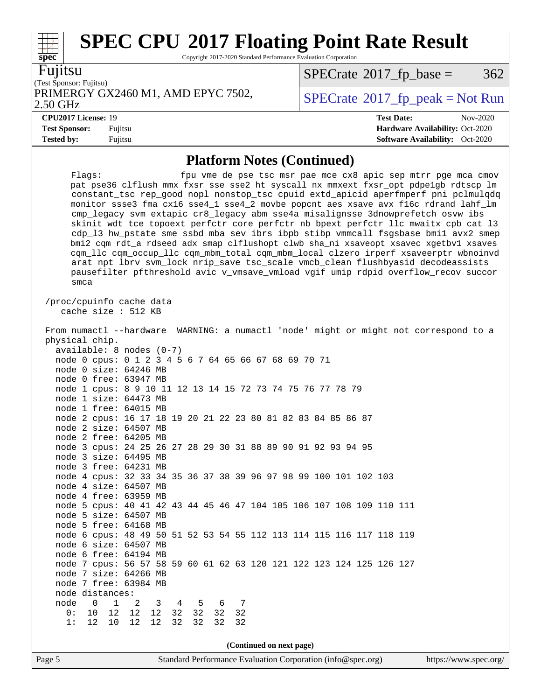Copyright 2017-2020 Standard Performance Evaluation Corporation

 $\Gamma$ <sub>st</sub>  $\Gamma$   $\Gamma$ Fujitsu

**[spec](http://www.spec.org/)**

 $\pm$ 

| rest Sponsor: Fujitsu)             |  |
|------------------------------------|--|
| PRIMERGY GX2460 M1, AMD EPYC 7502, |  |
| ) 50 GH <sub>7</sub>               |  |

 $SPECTate@2017_fp\_base = 362$ 

#### 2.50 GHz

**[Tested by:](http://www.spec.org/auto/cpu2017/Docs/result-fields.html#Testedby)** Fujitsu **[Software Availability:](http://www.spec.org/auto/cpu2017/Docs/result-fields.html#SoftwareAvailability)** Oct-2020

 $SPECTate@2017_fp\_peak = Not Run$ 

**[CPU2017 License:](http://www.spec.org/auto/cpu2017/Docs/result-fields.html#CPU2017License)** 19 **[Test Date:](http://www.spec.org/auto/cpu2017/Docs/result-fields.html#TestDate)** Nov-2020 **[Test Sponsor:](http://www.spec.org/auto/cpu2017/Docs/result-fields.html#TestSponsor)** Fujitsu **[Hardware Availability:](http://www.spec.org/auto/cpu2017/Docs/result-fields.html#HardwareAvailability)** Oct-2020

### **[Platform Notes \(Continued\)](http://www.spec.org/auto/cpu2017/Docs/result-fields.html#PlatformNotes)**

Flags: fpu vme de pse tsc msr pae mce cx8 apic sep mtrr pge mca cmov pat pse36 clflush mmx fxsr sse sse2 ht syscall nx mmxext fxsr\_opt pdpe1gb rdtscp lm constant\_tsc rep\_good nopl nonstop\_tsc cpuid extd\_apicid aperfmperf pni pclmulqdq monitor ssse3 fma cx16 sse4\_1 sse4\_2 movbe popcnt aes xsave avx f16c rdrand lahf\_lm cmp\_legacy svm extapic cr8\_legacy abm sse4a misalignsse 3dnowprefetch osvw ibs skinit wdt tce topoext perfctr\_core perfctr\_nb bpext perfctr\_llc mwaitx cpb cat\_l3 cdp\_l3 hw\_pstate sme ssbd mba sev ibrs ibpb stibp vmmcall fsgsbase bmi1 avx2 smep bmi2 cqm rdt\_a rdseed adx smap clflushopt clwb sha\_ni xsaveopt xsavec xgetbv1 xsaves cqm\_llc cqm\_occup\_llc cqm\_mbm\_total cqm\_mbm\_local clzero irperf xsaveerptr wbnoinvd arat npt lbrv svm\_lock nrip\_save tsc\_scale vmcb\_clean flushbyasid decodeassists pausefilter pfthreshold avic v\_vmsave\_vmload vgif umip rdpid overflow\_recov succor smca /proc/cpuinfo cache data cache size : 512 KB From numactl --hardware WARNING: a numactl 'node' might or might not correspond to a physical chip. available: 8 nodes (0-7) node 0 cpus: 0 1 2 3 4 5 6 7 64 65 66 67 68 69 70 71 node 0 size: 64246 MB node 0 free: 63947 MB node 1 cpus: 8 9 10 11 12 13 14 15 72 73 74 75 76 77 78 79 node 1 size: 64473 MB node 1 free: 64015 MB node 2 cpus: 16 17 18 19 20 21 22 23 80 81 82 83 84 85 86 87 node 2 size: 64507 MB node 2 free: 64205 MB node 3 cpus: 24 25 26 27 28 29 30 31 88 89 90 91 92 93 94 95 node 3 size: 64495 MB node 3 free: 64231 MB node 4 cpus: 32 33 34 35 36 37 38 39 96 97 98 99 100 101 102 103 node 4 size: 64507 MB node 4 free: 63959 MB node 5 cpus: 40 41 42 43 44 45 46 47 104 105 106 107 108 109 110 111 node 5 size: 64507 MB node 5 free: 64168 MB node 6 cpus: 48 49 50 51 52 53 54 55 112 113 114 115 116 117 118 119 node 6 size: 64507 MB node 6 free: 64194 MB node 7 cpus: 56 57 58 59 60 61 62 63 120 121 122 123 124 125 126 127 node 7 size: 64266 MB node 7 free: 63984 MB node distances: node 0 1 2 3 4 5 6 7 0: 10 12 12 12 32 32 32 32 1: 12 10 12 12 32 32 32 32 **(Continued on next page)**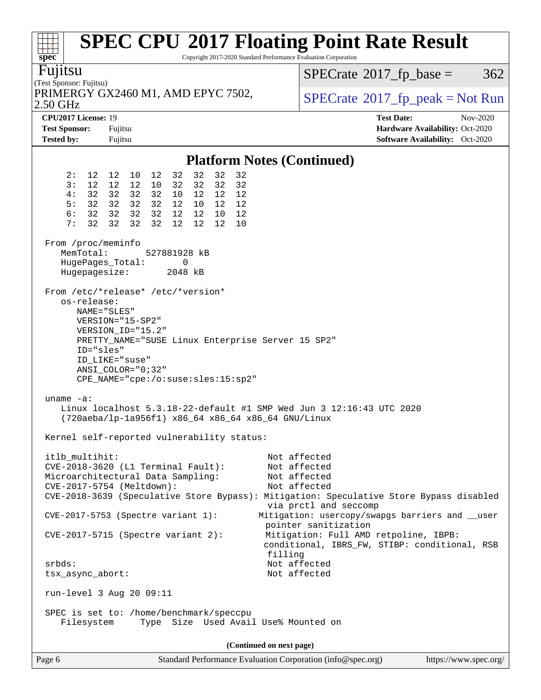| spec <sup>®</sup>                                                                                                                       |                                                                                                                                                                                                                                                                                                 | <b>SPEC CPU®2017 Floating Point Rate Result</b><br>Copyright 2017-2020 Standard Performance Evaluation Corporation                                                               |
|-----------------------------------------------------------------------------------------------------------------------------------------|-------------------------------------------------------------------------------------------------------------------------------------------------------------------------------------------------------------------------------------------------------------------------------------------------|----------------------------------------------------------------------------------------------------------------------------------------------------------------------------------|
| Fujitsu<br>(Test Sponsor: Fujitsu)                                                                                                      |                                                                                                                                                                                                                                                                                                 | $SPECTate$ <sup>®</sup> 2017_fp_base =<br>362                                                                                                                                    |
| 2.50 GHz                                                                                                                                | PRIMERGY GX2460 M1, AMD EPYC 7502,                                                                                                                                                                                                                                                              | $SPECrate^{\circ}2017rfp peak = Not Run$                                                                                                                                         |
| CPU2017 License: 19<br><b>Test Sponsor:</b><br><b>Tested by:</b>                                                                        | Fujitsu<br>Fujitsu                                                                                                                                                                                                                                                                              | <b>Test Date:</b><br>Nov-2020<br>Hardware Availability: Oct-2020<br><b>Software Availability:</b> Oct-2020                                                                       |
|                                                                                                                                         |                                                                                                                                                                                                                                                                                                 | <b>Platform Notes (Continued)</b>                                                                                                                                                |
| 2:<br>3:<br>12<br>32<br>4 :<br>32<br>5:<br>6:<br>32<br>32<br>7:<br>From /proc/meminfo<br>MemTotal:<br>HugePages_Total:<br>Hugepagesize: | 32<br>32<br>32<br>12 12 10 12<br>32<br>32<br>12<br>32<br>32<br>12<br>10<br>32<br>32<br>32 32<br>12<br>12<br>12<br>10<br>32 32 32<br>12 10 12<br>12<br>32<br>32 32<br>12 12 10<br>12<br>32<br>32<br>32<br>12<br>12 <sup>°</sup><br>12<br>10<br>527881928 kB<br>0<br>2048 kB                      |                                                                                                                                                                                  |
| os-release:<br>NAME="SLES"<br>ID="sles"<br>uname $-a$ :                                                                                 | From /etc/*release* /etc/*version*<br>VERSION="15-SP2"<br>VERSION_ID="15.2"<br>PRETTY_NAME="SUSE Linux Enterprise Server 15 SP2"<br>ID LIKE="suse"<br>$ANSI\_COLOR = "0:32"$<br>CPE_NAME="cpe:/o:suse:sles:15:sp2"<br>Linux localhost $5.3.18 - 22$ -default #1 SMP Wed Jun 3 12:16:43 UTC 2020 |                                                                                                                                                                                  |
|                                                                                                                                         | (720aeba/lp-1a956f1) x86_64 x86_64 x86_64 GNU/Linux<br>Kernel self-reported vulnerability status:                                                                                                                                                                                               |                                                                                                                                                                                  |
| itlb_multihit:                                                                                                                          | CVE-2018-3620 (L1 Terminal Fault):<br>Microarchitectural Data Sampling:<br>CVE-2017-5754 (Meltdown):                                                                                                                                                                                            | Not affected<br>Not affected<br>Not affected<br>Not affected<br>CVE-2018-3639 (Speculative Store Bypass): Mitigation: Speculative Store Bypass disabled<br>via prctl and seccomp |
|                                                                                                                                         | CVE-2017-5753 (Spectre variant 1):<br>$CVE-2017-5715$ (Spectre variant 2):                                                                                                                                                                                                                      | Mitigation: usercopy/swapgs barriers and __user<br>pointer sanitization<br>Mitigation: Full AMD retpoline, IBPB:<br>conditional, IBRS_FW, STIBP: conditional, RSB                |
| $srbds$ :<br>tsx_async_abort:                                                                                                           |                                                                                                                                                                                                                                                                                                 | filling<br>Not affected<br>Not affected                                                                                                                                          |
|                                                                                                                                         | run-level 3 Aug 20 09:11<br>SPEC is set to: /home/benchmark/speccpu                                                                                                                                                                                                                             |                                                                                                                                                                                  |
| Filesystem                                                                                                                              | Type Size Used Avail Use% Mounted on                                                                                                                                                                                                                                                            |                                                                                                                                                                                  |
|                                                                                                                                         |                                                                                                                                                                                                                                                                                                 | (Continued on next page)                                                                                                                                                         |
| Page 6                                                                                                                                  |                                                                                                                                                                                                                                                                                                 | Standard Performance Evaluation Corporation (info@spec.org)<br>https://www.spec.org/                                                                                             |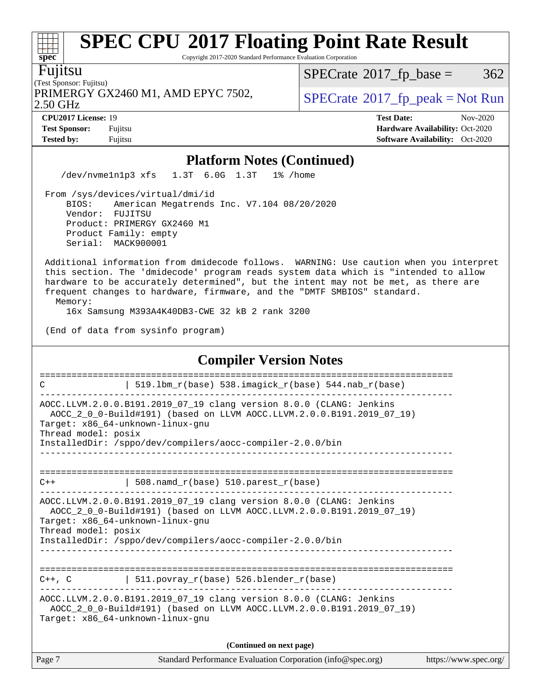Copyright 2017-2020 Standard Performance Evaluation Corporation

Fujitsu

**[spec](http://www.spec.org/)**

#### (Test Sponsor: Fujitsu) 2.50 GHz PRIMERGY GX2460 M1, AMD EPYC 7502,  $\vert$  [SPECrate](http://www.spec.org/auto/cpu2017/Docs/result-fields.html#SPECrate2017fppeak) 2017 fp peak = Not Run

 $SPECTate$ <sup>®</sup>[2017\\_fp\\_base =](http://www.spec.org/auto/cpu2017/Docs/result-fields.html#SPECrate2017fpbase) 362

**[CPU2017 License:](http://www.spec.org/auto/cpu2017/Docs/result-fields.html#CPU2017License)** 19 **[Test Date:](http://www.spec.org/auto/cpu2017/Docs/result-fields.html#TestDate)** Nov-2020 **[Test Sponsor:](http://www.spec.org/auto/cpu2017/Docs/result-fields.html#TestSponsor)** Fujitsu **[Hardware Availability:](http://www.spec.org/auto/cpu2017/Docs/result-fields.html#HardwareAvailability)** Oct-2020 **[Tested by:](http://www.spec.org/auto/cpu2017/Docs/result-fields.html#Testedby)** Fujitsu **Fugital Exception Contract Contract Contract Contract Contract Contract Contract Contract Contract Contract Contract Contract Contract Contract Contract Contract Contract Contract Contract Contract Co** 

### **[Platform Notes \(Continued\)](http://www.spec.org/auto/cpu2017/Docs/result-fields.html#PlatformNotes)**

/dev/nvme1n1p3 xfs 1.3T 6.0G 1.3T 1% /home

 From /sys/devices/virtual/dmi/id BIOS: American Megatrends Inc. V7.104 08/20/2020 Vendor: FUJITSU Product: PRIMERGY GX2460 M1 Product Family: empty Serial: MACK900001

 Additional information from dmidecode follows. WARNING: Use caution when you interpret this section. The 'dmidecode' program reads system data which is "intended to allow hardware to be accurately determined", but the intent may not be met, as there are frequent changes to hardware, firmware, and the "DMTF SMBIOS" standard.

Memory:

16x Samsung M393A4K40DB3-CWE 32 kB 2 rank 3200

(End of data from sysinfo program)

### **[Compiler Version Notes](http://www.spec.org/auto/cpu2017/Docs/result-fields.html#CompilerVersionNotes)** ============================================================================== C  $| 519.1bm_r(base) 538.imagick_r(base) 544.nab_r(base)$ ------------------------------------------------------------------------------ AOCC.LLVM.2.0.0.B191.2019\_07\_19 clang version 8.0.0 (CLANG: Jenkins AOCC\_2\_0\_0-Build#191) (based on LLVM AOCC.LLVM.2.0.0.B191.2019\_07\_19) Target: x86\_64-unknown-linux-gnu Thread model: posix InstalledDir: /sppo/dev/compilers/aocc-compiler-2.0.0/bin ------------------------------------------------------------------------------ ==============================================================================  $C++$  | 508.namd\_r(base) 510.parest\_r(base) ------------------------------------------------------------------------------ AOCC.LLVM.2.0.0.B191.2019\_07\_19 clang version 8.0.0 (CLANG: Jenkins AOCC\_2\_0\_0-Build#191) (based on LLVM AOCC.LLVM.2.0.0.B191.2019\_07\_19) Target: x86\_64-unknown-linux-gnu Thread model: posix InstalledDir: /sppo/dev/compilers/aocc-compiler-2.0.0/bin ------------------------------------------------------------------------------ ==============================================================================  $C_{++}$ , C | 511.povray\_r(base) 526.blender\_r(base) ------------------------------------------------------------------------------ AOCC.LLVM.2.0.0.B191.2019\_07\_19 clang version 8.0.0 (CLANG: Jenkins AOCC\_2\_0\_0-Build#191) (based on LLVM AOCC.LLVM.2.0.0.B191.2019\_07\_19) Target: x86\_64-unknown-linux-gnu **(Continued on next page)**

| Page 7 | Standard Performance Evaluation Corporation (info@spec.org) | https://www.spec.org/ |
|--------|-------------------------------------------------------------|-----------------------|
|        |                                                             |                       |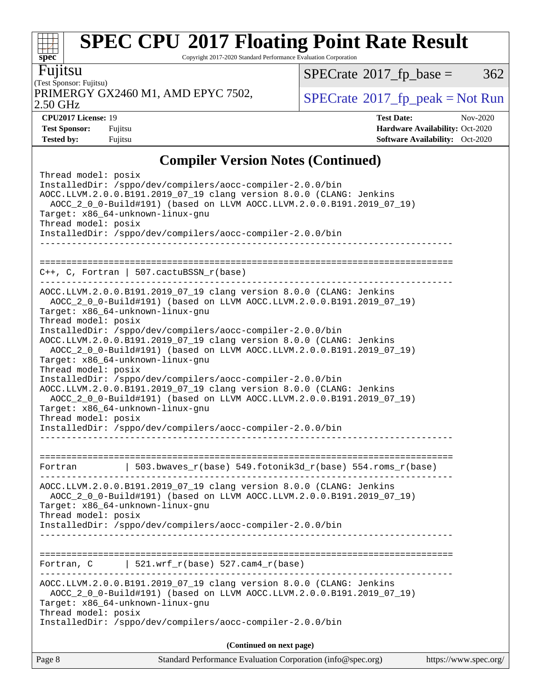Copyright 2017-2020 Standard Performance Evaluation Corporation

Fujitsu

**[spec](http://www.spec.org/)**

 $\pm r$ 

(Test Sponsor: Fujitsu) 2.50 GHz PRIMERGY GX2460 M1, AMD EPYC 7502,  $\vert$  [SPECrate](http://www.spec.org/auto/cpu2017/Docs/result-fields.html#SPECrate2017fppeak) 2017 fp peak = Not Run

 $SPECTate@2017_fp\_base = 362$ 

**[Tested by:](http://www.spec.org/auto/cpu2017/Docs/result-fields.html#Testedby)** Fujitsu **[Software Availability:](http://www.spec.org/auto/cpu2017/Docs/result-fields.html#SoftwareAvailability)** Oct-2020

**[CPU2017 License:](http://www.spec.org/auto/cpu2017/Docs/result-fields.html#CPU2017License)** 19 **[Test Date:](http://www.spec.org/auto/cpu2017/Docs/result-fields.html#TestDate)** Nov-2020 **[Test Sponsor:](http://www.spec.org/auto/cpu2017/Docs/result-fields.html#TestSponsor)** Fujitsu **[Hardware Availability:](http://www.spec.org/auto/cpu2017/Docs/result-fields.html#HardwareAvailability)** Oct-2020

## **[Compiler Version Notes \(Continued\)](http://www.spec.org/auto/cpu2017/Docs/result-fields.html#CompilerVersionNotes)**

Page 8 Standard Performance Evaluation Corporation [\(info@spec.org\)](mailto:info@spec.org) <https://www.spec.org/> Thread model: posix InstalledDir: /sppo/dev/compilers/aocc-compiler-2.0.0/bin AOCC.LLVM.2.0.0.B191.2019\_07\_19 clang version 8.0.0 (CLANG: Jenkins AOCC\_2\_0\_0-Build#191) (based on LLVM AOCC.LLVM.2.0.0.B191.2019\_07\_19) Target: x86\_64-unknown-linux-gnu Thread model: posix InstalledDir: /sppo/dev/compilers/aocc-compiler-2.0.0/bin ------------------------------------------------------------------------------ ============================================================================== C++, C, Fortran | 507.cactuBSSN\_r(base) ------------------------------------------------------------------------------ AOCC.LLVM.2.0.0.B191.2019\_07\_19 clang version 8.0.0 (CLANG: Jenkins AOCC\_2\_0\_0-Build#191) (based on LLVM AOCC.LLVM.2.0.0.B191.2019\_07\_19) Target: x86\_64-unknown-linux-gnu Thread model: posix InstalledDir: /sppo/dev/compilers/aocc-compiler-2.0.0/bin AOCC.LLVM.2.0.0.B191.2019\_07\_19 clang version 8.0.0 (CLANG: Jenkins AOCC\_2\_0\_0-Build#191) (based on LLVM AOCC.LLVM.2.0.0.B191.2019\_07\_19) Target: x86\_64-unknown-linux-gnu Thread model: posix InstalledDir: /sppo/dev/compilers/aocc-compiler-2.0.0/bin AOCC.LLVM.2.0.0.B191.2019\_07\_19 clang version 8.0.0 (CLANG: Jenkins AOCC\_2\_0\_0-Build#191) (based on LLVM AOCC.LLVM.2.0.0.B191.2019\_07\_19) Target: x86\_64-unknown-linux-gnu Thread model: posix InstalledDir: /sppo/dev/compilers/aocc-compiler-2.0.0/bin ------------------------------------------------------------------------------ ============================================================================== Fortran | 503.bwaves\_r(base) 549.fotonik3d\_r(base) 554.roms\_r(base) ------------------------------------------------------------------------------ AOCC.LLVM.2.0.0.B191.2019\_07\_19 clang version 8.0.0 (CLANG: Jenkins AOCC\_2\_0\_0-Build#191) (based on LLVM AOCC.LLVM.2.0.0.B191.2019\_07\_19) Target: x86\_64-unknown-linux-gnu Thread model: posix InstalledDir: /sppo/dev/compilers/aocc-compiler-2.0.0/bin ------------------------------------------------------------------------------ ============================================================================== Fortran,  $C$  | 521.wrf\_r(base) 527.cam4\_r(base) ------------------------------------------------------------------------------ AOCC.LLVM.2.0.0.B191.2019\_07\_19 clang version 8.0.0 (CLANG: Jenkins AOCC\_2\_0\_0-Build#191) (based on LLVM AOCC.LLVM.2.0.0.B191.2019\_07\_19) Target: x86\_64-unknown-linux-gnu Thread model: posix InstalledDir: /sppo/dev/compilers/aocc-compiler-2.0.0/bin **(Continued on next page)**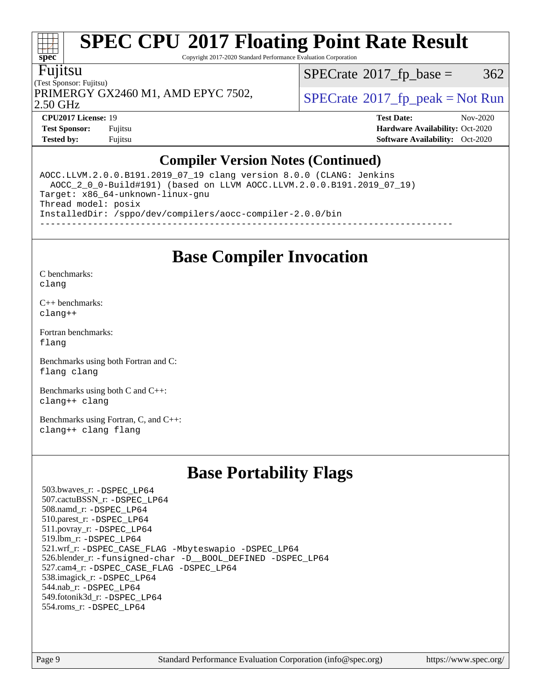Copyright 2017-2020 Standard Performance Evaluation Corporation

### Fujitsu

(Test Sponsor: Fujitsu) 2.50 GHz PRIMERGY GX2460 M1, AMD EPYC 7502,  $\vert$  [SPECrate](http://www.spec.org/auto/cpu2017/Docs/result-fields.html#SPECrate2017fppeak)®[2017\\_fp\\_peak = N](http://www.spec.org/auto/cpu2017/Docs/result-fields.html#SPECrate2017fppeak)ot Run

 $SPECTate@2017_fp\_base = 362$ 

**[spec](http://www.spec.org/)**

H F

**[Tested by:](http://www.spec.org/auto/cpu2017/Docs/result-fields.html#Testedby)** Fujitsu **[Software Availability:](http://www.spec.org/auto/cpu2017/Docs/result-fields.html#SoftwareAvailability)** Oct-2020

**[CPU2017 License:](http://www.spec.org/auto/cpu2017/Docs/result-fields.html#CPU2017License)** 19 **[Test Date:](http://www.spec.org/auto/cpu2017/Docs/result-fields.html#TestDate)** Nov-2020 **[Test Sponsor:](http://www.spec.org/auto/cpu2017/Docs/result-fields.html#TestSponsor)** Fujitsu **[Hardware Availability:](http://www.spec.org/auto/cpu2017/Docs/result-fields.html#HardwareAvailability)** Oct-2020

## **[Compiler Version Notes \(Continued\)](http://www.spec.org/auto/cpu2017/Docs/result-fields.html#CompilerVersionNotes)**

AOCC.LLVM.2.0.0.B191.2019\_07\_19 clang version 8.0.0 (CLANG: Jenkins AOCC\_2\_0\_0-Build#191) (based on LLVM AOCC.LLVM.2.0.0.B191.2019\_07\_19) Target: x86\_64-unknown-linux-gnu Thread model: posix InstalledDir: /sppo/dev/compilers/aocc-compiler-2.0.0/bin ------------------------------------------------------------------------------

## **[Base Compiler Invocation](http://www.spec.org/auto/cpu2017/Docs/result-fields.html#BaseCompilerInvocation)**

[C benchmarks](http://www.spec.org/auto/cpu2017/Docs/result-fields.html#Cbenchmarks): [clang](http://www.spec.org/cpu2017/results/res2020q4/cpu2017-20201124-24499.flags.html#user_CCbase_clang-c)

[C++ benchmarks:](http://www.spec.org/auto/cpu2017/Docs/result-fields.html#CXXbenchmarks) [clang++](http://www.spec.org/cpu2017/results/res2020q4/cpu2017-20201124-24499.flags.html#user_CXXbase_clang-cpp)

[Fortran benchmarks](http://www.spec.org/auto/cpu2017/Docs/result-fields.html#Fortranbenchmarks): [flang](http://www.spec.org/cpu2017/results/res2020q4/cpu2017-20201124-24499.flags.html#user_FCbase_flang)

[Benchmarks using both Fortran and C](http://www.spec.org/auto/cpu2017/Docs/result-fields.html#BenchmarksusingbothFortranandC): [flang](http://www.spec.org/cpu2017/results/res2020q4/cpu2017-20201124-24499.flags.html#user_CC_FCbase_flang) [clang](http://www.spec.org/cpu2017/results/res2020q4/cpu2017-20201124-24499.flags.html#user_CC_FCbase_clang-c)

[Benchmarks using both C and C++](http://www.spec.org/auto/cpu2017/Docs/result-fields.html#BenchmarksusingbothCandCXX): [clang++](http://www.spec.org/cpu2017/results/res2020q4/cpu2017-20201124-24499.flags.html#user_CC_CXXbase_clang-cpp) [clang](http://www.spec.org/cpu2017/results/res2020q4/cpu2017-20201124-24499.flags.html#user_CC_CXXbase_clang-c)

[Benchmarks using Fortran, C, and C++:](http://www.spec.org/auto/cpu2017/Docs/result-fields.html#BenchmarksusingFortranCandCXX) [clang++](http://www.spec.org/cpu2017/results/res2020q4/cpu2017-20201124-24499.flags.html#user_CC_CXX_FCbase_clang-cpp) [clang](http://www.spec.org/cpu2017/results/res2020q4/cpu2017-20201124-24499.flags.html#user_CC_CXX_FCbase_clang-c) [flang](http://www.spec.org/cpu2017/results/res2020q4/cpu2017-20201124-24499.flags.html#user_CC_CXX_FCbase_flang)

## **[Base Portability Flags](http://www.spec.org/auto/cpu2017/Docs/result-fields.html#BasePortabilityFlags)**

 503.bwaves\_r: [-DSPEC\\_LP64](http://www.spec.org/cpu2017/results/res2020q4/cpu2017-20201124-24499.flags.html#suite_baseEXTRA_PORTABILITY503_bwaves_r_DSPEC_LP64) 507.cactuBSSN\_r: [-DSPEC\\_LP64](http://www.spec.org/cpu2017/results/res2020q4/cpu2017-20201124-24499.flags.html#suite_baseEXTRA_PORTABILITY507_cactuBSSN_r_DSPEC_LP64) 508.namd\_r: [-DSPEC\\_LP64](http://www.spec.org/cpu2017/results/res2020q4/cpu2017-20201124-24499.flags.html#suite_baseEXTRA_PORTABILITY508_namd_r_DSPEC_LP64) 510.parest\_r: [-DSPEC\\_LP64](http://www.spec.org/cpu2017/results/res2020q4/cpu2017-20201124-24499.flags.html#suite_baseEXTRA_PORTABILITY510_parest_r_DSPEC_LP64) 511.povray\_r: [-DSPEC\\_LP64](http://www.spec.org/cpu2017/results/res2020q4/cpu2017-20201124-24499.flags.html#suite_baseEXTRA_PORTABILITY511_povray_r_DSPEC_LP64) 519.lbm\_r: [-DSPEC\\_LP64](http://www.spec.org/cpu2017/results/res2020q4/cpu2017-20201124-24499.flags.html#suite_baseEXTRA_PORTABILITY519_lbm_r_DSPEC_LP64) 521.wrf\_r: [-DSPEC\\_CASE\\_FLAG](http://www.spec.org/cpu2017/results/res2020q4/cpu2017-20201124-24499.flags.html#b521.wrf_r_baseCPORTABILITY_DSPEC_CASE_FLAG) [-Mbyteswapio](http://www.spec.org/cpu2017/results/res2020q4/cpu2017-20201124-24499.flags.html#user_baseFPORTABILITY521_wrf_r_F-mbyteswapio_543c39ce38db59bcbc3b888917ef58c313007ae1c27520b689e012995ae261114051d1d5efcb4182d175ce22a6a15532d3a9999882dd2c360e6d853f41da6883) [-DSPEC\\_LP64](http://www.spec.org/cpu2017/results/res2020q4/cpu2017-20201124-24499.flags.html#suite_baseEXTRA_PORTABILITY521_wrf_r_DSPEC_LP64) 526.blender\_r: [-funsigned-char](http://www.spec.org/cpu2017/results/res2020q4/cpu2017-20201124-24499.flags.html#user_baseCPORTABILITY526_blender_r_aocc-unsigned-char) [-D\\_\\_BOOL\\_DEFINED](http://www.spec.org/cpu2017/results/res2020q4/cpu2017-20201124-24499.flags.html#b526.blender_r_baseCXXPORTABILITY_D__BOOL_DEFINED) [-DSPEC\\_LP64](http://www.spec.org/cpu2017/results/res2020q4/cpu2017-20201124-24499.flags.html#suite_baseEXTRA_PORTABILITY526_blender_r_DSPEC_LP64) 527.cam4\_r: [-DSPEC\\_CASE\\_FLAG](http://www.spec.org/cpu2017/results/res2020q4/cpu2017-20201124-24499.flags.html#b527.cam4_r_basePORTABILITY_DSPEC_CASE_FLAG) [-DSPEC\\_LP64](http://www.spec.org/cpu2017/results/res2020q4/cpu2017-20201124-24499.flags.html#suite_baseEXTRA_PORTABILITY527_cam4_r_DSPEC_LP64) 538.imagick\_r: [-DSPEC\\_LP64](http://www.spec.org/cpu2017/results/res2020q4/cpu2017-20201124-24499.flags.html#suite_baseEXTRA_PORTABILITY538_imagick_r_DSPEC_LP64) 544.nab\_r: [-DSPEC\\_LP64](http://www.spec.org/cpu2017/results/res2020q4/cpu2017-20201124-24499.flags.html#suite_baseEXTRA_PORTABILITY544_nab_r_DSPEC_LP64) 549.fotonik3d\_r: [-DSPEC\\_LP64](http://www.spec.org/cpu2017/results/res2020q4/cpu2017-20201124-24499.flags.html#suite_baseEXTRA_PORTABILITY549_fotonik3d_r_DSPEC_LP64) 554.roms\_r: [-DSPEC\\_LP64](http://www.spec.org/cpu2017/results/res2020q4/cpu2017-20201124-24499.flags.html#suite_baseEXTRA_PORTABILITY554_roms_r_DSPEC_LP64)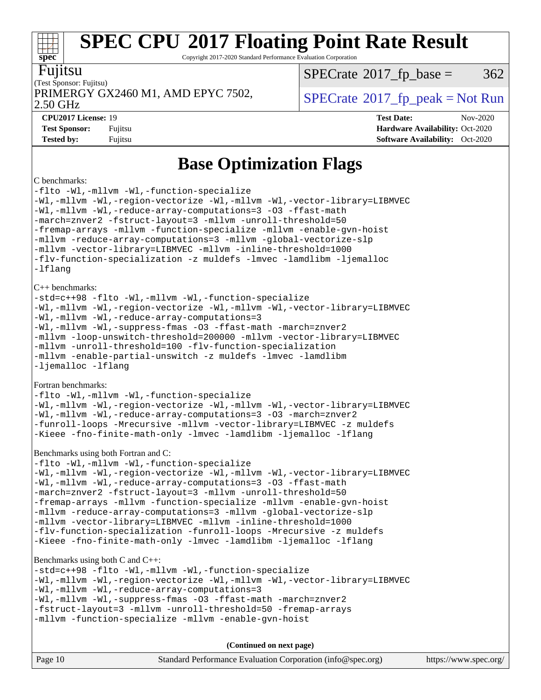Copyright 2017-2020 Standard Performance Evaluation Corporation

### Fujitsu

**[spec](http://www.spec.org/)**

(Test Sponsor: Fujitsu) PRIMERGY GX2460 M1, AMD EPYC 7502,  $\vert$  [SPECrate](http://www.spec.org/auto/cpu2017/Docs/result-fields.html#SPECrate2017fppeak) 2017 fp peak = Not Run

 $SPECTate@2017_fp\_base = 362$ 

2.50 GHz

**[CPU2017 License:](http://www.spec.org/auto/cpu2017/Docs/result-fields.html#CPU2017License)** 19 **[Test Date:](http://www.spec.org/auto/cpu2017/Docs/result-fields.html#TestDate)** Nov-2020

**[Test Sponsor:](http://www.spec.org/auto/cpu2017/Docs/result-fields.html#TestSponsor)** Fujitsu **[Hardware Availability:](http://www.spec.org/auto/cpu2017/Docs/result-fields.html#HardwareAvailability)** Oct-2020 **[Tested by:](http://www.spec.org/auto/cpu2017/Docs/result-fields.html#Testedby)** Fujitsu **Fugital Exception Contract Contract Contract Contract Contract Contract Contract Contract Contract Contract Contract Contract Contract Contract Contract Contract Contract Contract Contract Contract Co** 

## **[Base Optimization Flags](http://www.spec.org/auto/cpu2017/Docs/result-fields.html#BaseOptimizationFlags)**

#### [C benchmarks:](http://www.spec.org/auto/cpu2017/Docs/result-fields.html#Cbenchmarks)

[-flto](http://www.spec.org/cpu2017/results/res2020q4/cpu2017-20201124-24499.flags.html#user_CCbase_aocc-flto) [-Wl,-mllvm -Wl,-function-specialize](http://www.spec.org/cpu2017/results/res2020q4/cpu2017-20201124-24499.flags.html#user_CCbase_F-function-specialize_7e7e661e57922243ee67c9a1251cb8910e607325179a0ce7f2884e09a6f5d4a5ef0ae4f37e8a2a11c95fc48e931f06dc2b6016f14b511fcb441e048bef1b065a) [-Wl,-mllvm -Wl,-region-vectorize](http://www.spec.org/cpu2017/results/res2020q4/cpu2017-20201124-24499.flags.html#user_CCbase_F-region-vectorize_fb6c6b5aa293c88efc6c7c2b52b20755e943585b1fe8658c35afef78727fff56e1a56891413c30e36b8e2a6f9a71126986319243e80eb6110b78b288f533c52b) [-Wl,-mllvm -Wl,-vector-library=LIBMVEC](http://www.spec.org/cpu2017/results/res2020q4/cpu2017-20201124-24499.flags.html#user_CCbase_F-use-vector-library_0a14b27fae317f283640384a31f7bfcc2bd4c1d0b5cfc618a3a430800c9b20217b00f61303eff223a3251b4f06ffbc9739dc5296db9d1fbb9ad24a3939d86d66) [-Wl,-mllvm -Wl,-reduce-array-computations=3](http://www.spec.org/cpu2017/results/res2020q4/cpu2017-20201124-24499.flags.html#user_CCbase_F-reduce-array-computations_b882aefe7a5dda4e33149f6299762b9a720dace3e498e13756f4c04e5a19edf5315c1f3993de2e61ec41e8c206231f84e05da7040e1bb5d69ba27d10a12507e4) [-O3](http://www.spec.org/cpu2017/results/res2020q4/cpu2017-20201124-24499.flags.html#user_CCbase_F-O3) [-ffast-math](http://www.spec.org/cpu2017/results/res2020q4/cpu2017-20201124-24499.flags.html#user_CCbase_aocc-ffast-math) [-march=znver2](http://www.spec.org/cpu2017/results/res2020q4/cpu2017-20201124-24499.flags.html#user_CCbase_aocc-march_3e2e19cff2eeef60c5d90b059483627c9ea47eca6d66670dbd53f9185f6439e27eb5e104cf773e9e8ab18c8842ce63e461a3e948d0214bd567ef3ade411bf467) [-fstruct-layout=3](http://www.spec.org/cpu2017/results/res2020q4/cpu2017-20201124-24499.flags.html#user_CCbase_F-struct-layout) [-mllvm -unroll-threshold=50](http://www.spec.org/cpu2017/results/res2020q4/cpu2017-20201124-24499.flags.html#user_CCbase_F-unroll-threshold_458874500b2c105d6d5cb4d7a611c40e2b16e9e3d26b355fea72d644c3673b4de4b3932662f0ed3dbec75c491a13da2d2ca81180bd779dc531083ef1e1e549dc) [-fremap-arrays](http://www.spec.org/cpu2017/results/res2020q4/cpu2017-20201124-24499.flags.html#user_CCbase_F-fremap-arrays) [-mllvm -function-specialize](http://www.spec.org/cpu2017/results/res2020q4/cpu2017-20201124-24499.flags.html#user_CCbase_F-function-specialize_233b3bdba86027f1b094368157e481c5bc59f40286dc25bfadc1858dcd5745c24fd30d5f188710db7fea399bcc9f44a80b3ce3aacc70a8870250c3ae5e1f35b8) [-mllvm -enable-gvn-hoist](http://www.spec.org/cpu2017/results/res2020q4/cpu2017-20201124-24499.flags.html#user_CCbase_F-enable-gvn-hoist_e5856354646dd6ca1333a0ad99b817e4cf8932b91b82809fd8fd47ceff7b22a89eba5c98fd3e3fa5200368fd772cec3dd56abc3c8f7b655a71b9f9848dddedd5) [-mllvm -reduce-array-computations=3](http://www.spec.org/cpu2017/results/res2020q4/cpu2017-20201124-24499.flags.html#user_CCbase_F-reduce-array-computations_aceadb8604558b566e0e3a0d7a3c1533923dd1fa0889614e16288028922629a28d5695c24d3b3be4306b1e311c54317dfffe3a2e57fbcaabc737a1798de39145) [-mllvm -global-vectorize-slp](http://www.spec.org/cpu2017/results/res2020q4/cpu2017-20201124-24499.flags.html#user_CCbase_F-global-vectorize-slp_a3935e8627af4ced727033b1ffd4db27f4d541a363d28d82bf4c2925fb3a0fd4115d6e42d13a2829f9e024d6608eb67a85cb49770f2da5c5ac8dbc737afad603) [-mllvm -vector-library=LIBMVEC](http://www.spec.org/cpu2017/results/res2020q4/cpu2017-20201124-24499.flags.html#user_CCbase_F-use-vector-library_e584e20b4f7ec96aa109254b65d8e01d864f3d68580371b9d93ed7c338191d4cfce20c3c864632264effc6bbe4c7c38153d02096a342ee92501c4a53204a7871) [-mllvm -inline-threshold=1000](http://www.spec.org/cpu2017/results/res2020q4/cpu2017-20201124-24499.flags.html#user_CCbase_dragonegg-llvm-inline-threshold_b7832241b0a6397e4ecdbaf0eb7defdc10f885c2a282fa3240fdc99844d543fda39cf8a4a9dccf68cf19b5438ac3b455264f478df15da0f4988afa40d8243bab) [-flv-function-specialization](http://www.spec.org/cpu2017/results/res2020q4/cpu2017-20201124-24499.flags.html#user_CCbase_F-flv-function-specialization) [-z muldefs](http://www.spec.org/cpu2017/results/res2020q4/cpu2017-20201124-24499.flags.html#user_CCbase_aocc-muldefs) [-lmvec](http://www.spec.org/cpu2017/results/res2020q4/cpu2017-20201124-24499.flags.html#user_CCbase_F-lmvec) [-lamdlibm](http://www.spec.org/cpu2017/results/res2020q4/cpu2017-20201124-24499.flags.html#user_CCbase_F-lamdlibm) [-ljemalloc](http://www.spec.org/cpu2017/results/res2020q4/cpu2017-20201124-24499.flags.html#user_CCbase_jemalloc-lib) [-lflang](http://www.spec.org/cpu2017/results/res2020q4/cpu2017-20201124-24499.flags.html#user_CCbase_F-lflang) [C++ benchmarks](http://www.spec.org/auto/cpu2017/Docs/result-fields.html#CXXbenchmarks): [-std=c++98](http://www.spec.org/cpu2017/results/res2020q4/cpu2017-20201124-24499.flags.html#user_CXXbase_std-cpp) [-flto](http://www.spec.org/cpu2017/results/res2020q4/cpu2017-20201124-24499.flags.html#user_CXXbase_aocc-flto) [-Wl,-mllvm -Wl,-function-specialize](http://www.spec.org/cpu2017/results/res2020q4/cpu2017-20201124-24499.flags.html#user_CXXbase_F-function-specialize_7e7e661e57922243ee67c9a1251cb8910e607325179a0ce7f2884e09a6f5d4a5ef0ae4f37e8a2a11c95fc48e931f06dc2b6016f14b511fcb441e048bef1b065a) [-Wl,-mllvm -Wl,-region-vectorize](http://www.spec.org/cpu2017/results/res2020q4/cpu2017-20201124-24499.flags.html#user_CXXbase_F-region-vectorize_fb6c6b5aa293c88efc6c7c2b52b20755e943585b1fe8658c35afef78727fff56e1a56891413c30e36b8e2a6f9a71126986319243e80eb6110b78b288f533c52b) [-Wl,-mllvm -Wl,-vector-library=LIBMVEC](http://www.spec.org/cpu2017/results/res2020q4/cpu2017-20201124-24499.flags.html#user_CXXbase_F-use-vector-library_0a14b27fae317f283640384a31f7bfcc2bd4c1d0b5cfc618a3a430800c9b20217b00f61303eff223a3251b4f06ffbc9739dc5296db9d1fbb9ad24a3939d86d66) [-Wl,-mllvm -Wl,-reduce-array-computations=3](http://www.spec.org/cpu2017/results/res2020q4/cpu2017-20201124-24499.flags.html#user_CXXbase_F-reduce-array-computations_b882aefe7a5dda4e33149f6299762b9a720dace3e498e13756f4c04e5a19edf5315c1f3993de2e61ec41e8c206231f84e05da7040e1bb5d69ba27d10a12507e4) [-Wl,-mllvm -Wl,-suppress-fmas](http://www.spec.org/cpu2017/results/res2020q4/cpu2017-20201124-24499.flags.html#user_CXXbase_F-suppress-fmas_f00f00630e4a059e8af9c161e9bbf420bcf19890a7f99d5933525e66aa4b0bb3ab2339d2b12d97d3a5f5d271e839fe9c109938e91fe06230fb53651590cfa1e8) [-O3](http://www.spec.org/cpu2017/results/res2020q4/cpu2017-20201124-24499.flags.html#user_CXXbase_F-O3) [-ffast-math](http://www.spec.org/cpu2017/results/res2020q4/cpu2017-20201124-24499.flags.html#user_CXXbase_aocc-ffast-math) [-march=znver2](http://www.spec.org/cpu2017/results/res2020q4/cpu2017-20201124-24499.flags.html#user_CXXbase_aocc-march_3e2e19cff2eeef60c5d90b059483627c9ea47eca6d66670dbd53f9185f6439e27eb5e104cf773e9e8ab18c8842ce63e461a3e948d0214bd567ef3ade411bf467) [-mllvm -loop-unswitch-threshold=200000](http://www.spec.org/cpu2017/results/res2020q4/cpu2017-20201124-24499.flags.html#user_CXXbase_F-loop-unswitch-threshold_f9a82ae3270e55b5fbf79d0d96ee93606b73edbbe527d20b18b7bff1a3a146ad50cfc7454c5297978340ae9213029016a7d16221274d672d3f7f42ed25274e1d) [-mllvm -vector-library=LIBMVEC](http://www.spec.org/cpu2017/results/res2020q4/cpu2017-20201124-24499.flags.html#user_CXXbase_F-use-vector-library_e584e20b4f7ec96aa109254b65d8e01d864f3d68580371b9d93ed7c338191d4cfce20c3c864632264effc6bbe4c7c38153d02096a342ee92501c4a53204a7871) [-mllvm -unroll-threshold=100](http://www.spec.org/cpu2017/results/res2020q4/cpu2017-20201124-24499.flags.html#user_CXXbase_F-unroll-threshold_2755d0c78138845d361fa1543e3a063fffa198df9b3edf0cfb856bbc88a81e1769b12ac7a550c5d35197be55360db1a3f95a8d1304df999456cabf5120c45168) [-flv-function-specialization](http://www.spec.org/cpu2017/results/res2020q4/cpu2017-20201124-24499.flags.html#user_CXXbase_F-flv-function-specialization) [-mllvm -enable-partial-unswitch](http://www.spec.org/cpu2017/results/res2020q4/cpu2017-20201124-24499.flags.html#user_CXXbase_F-enable-partial-unswitch_6e1c33f981d77963b1eaf834973128a7f33ce3f8e27f54689656697a35e89dcc875281e0e6283d043e32f367dcb605ba0e307a92e830f7e326789fa6c61b35d3) [-z muldefs](http://www.spec.org/cpu2017/results/res2020q4/cpu2017-20201124-24499.flags.html#user_CXXbase_aocc-muldefs) [-lmvec](http://www.spec.org/cpu2017/results/res2020q4/cpu2017-20201124-24499.flags.html#user_CXXbase_F-lmvec) [-lamdlibm](http://www.spec.org/cpu2017/results/res2020q4/cpu2017-20201124-24499.flags.html#user_CXXbase_F-lamdlibm) [-ljemalloc](http://www.spec.org/cpu2017/results/res2020q4/cpu2017-20201124-24499.flags.html#user_CXXbase_jemalloc-lib) [-lflang](http://www.spec.org/cpu2017/results/res2020q4/cpu2017-20201124-24499.flags.html#user_CXXbase_F-lflang) [Fortran benchmarks:](http://www.spec.org/auto/cpu2017/Docs/result-fields.html#Fortranbenchmarks) [-flto](http://www.spec.org/cpu2017/results/res2020q4/cpu2017-20201124-24499.flags.html#user_FCbase_aocc-flto) [-Wl,-mllvm -Wl,-function-specialize](http://www.spec.org/cpu2017/results/res2020q4/cpu2017-20201124-24499.flags.html#user_FCbase_F-function-specialize_7e7e661e57922243ee67c9a1251cb8910e607325179a0ce7f2884e09a6f5d4a5ef0ae4f37e8a2a11c95fc48e931f06dc2b6016f14b511fcb441e048bef1b065a)

[-Wl,-mllvm -Wl,-region-vectorize](http://www.spec.org/cpu2017/results/res2020q4/cpu2017-20201124-24499.flags.html#user_FCbase_F-region-vectorize_fb6c6b5aa293c88efc6c7c2b52b20755e943585b1fe8658c35afef78727fff56e1a56891413c30e36b8e2a6f9a71126986319243e80eb6110b78b288f533c52b) [-Wl,-mllvm -Wl,-vector-library=LIBMVEC](http://www.spec.org/cpu2017/results/res2020q4/cpu2017-20201124-24499.flags.html#user_FCbase_F-use-vector-library_0a14b27fae317f283640384a31f7bfcc2bd4c1d0b5cfc618a3a430800c9b20217b00f61303eff223a3251b4f06ffbc9739dc5296db9d1fbb9ad24a3939d86d66) [-Wl,-mllvm -Wl,-reduce-array-computations=3](http://www.spec.org/cpu2017/results/res2020q4/cpu2017-20201124-24499.flags.html#user_FCbase_F-reduce-array-computations_b882aefe7a5dda4e33149f6299762b9a720dace3e498e13756f4c04e5a19edf5315c1f3993de2e61ec41e8c206231f84e05da7040e1bb5d69ba27d10a12507e4) [-O3](http://www.spec.org/cpu2017/results/res2020q4/cpu2017-20201124-24499.flags.html#user_FCbase_F-O3) [-march=znver2](http://www.spec.org/cpu2017/results/res2020q4/cpu2017-20201124-24499.flags.html#user_FCbase_aocc-march_3e2e19cff2eeef60c5d90b059483627c9ea47eca6d66670dbd53f9185f6439e27eb5e104cf773e9e8ab18c8842ce63e461a3e948d0214bd567ef3ade411bf467) [-funroll-loops](http://www.spec.org/cpu2017/results/res2020q4/cpu2017-20201124-24499.flags.html#user_FCbase_aocc-unroll-loops) [-Mrecursive](http://www.spec.org/cpu2017/results/res2020q4/cpu2017-20201124-24499.flags.html#user_FCbase_F-mrecursive_20a145d63f12d5750a899e17d4450b5b8b40330a9bb4af13688ca650e6fb30857bbbe44fb35cdbb895df6e5b2769de0a0d7659f51ff17acfbef6febafec4023f) [-mllvm -vector-library=LIBMVEC](http://www.spec.org/cpu2017/results/res2020q4/cpu2017-20201124-24499.flags.html#user_FCbase_F-use-vector-library_e584e20b4f7ec96aa109254b65d8e01d864f3d68580371b9d93ed7c338191d4cfce20c3c864632264effc6bbe4c7c38153d02096a342ee92501c4a53204a7871) [-z muldefs](http://www.spec.org/cpu2017/results/res2020q4/cpu2017-20201124-24499.flags.html#user_FCbase_aocc-muldefs) [-Kieee](http://www.spec.org/cpu2017/results/res2020q4/cpu2017-20201124-24499.flags.html#user_FCbase_F-kieee) [-fno-finite-math-only](http://www.spec.org/cpu2017/results/res2020q4/cpu2017-20201124-24499.flags.html#user_FCbase_aocc-fno-finite-math-only) [-lmvec](http://www.spec.org/cpu2017/results/res2020q4/cpu2017-20201124-24499.flags.html#user_FCbase_F-lmvec) [-lamdlibm](http://www.spec.org/cpu2017/results/res2020q4/cpu2017-20201124-24499.flags.html#user_FCbase_F-lamdlibm) [-ljemalloc](http://www.spec.org/cpu2017/results/res2020q4/cpu2017-20201124-24499.flags.html#user_FCbase_jemalloc-lib) [-lflang](http://www.spec.org/cpu2017/results/res2020q4/cpu2017-20201124-24499.flags.html#user_FCbase_F-lflang)

#### [Benchmarks using both Fortran and C:](http://www.spec.org/auto/cpu2017/Docs/result-fields.html#BenchmarksusingbothFortranandC)

[-flto](http://www.spec.org/cpu2017/results/res2020q4/cpu2017-20201124-24499.flags.html#user_CC_FCbase_aocc-flto) [-Wl,-mllvm -Wl,-function-specialize](http://www.spec.org/cpu2017/results/res2020q4/cpu2017-20201124-24499.flags.html#user_CC_FCbase_F-function-specialize_7e7e661e57922243ee67c9a1251cb8910e607325179a0ce7f2884e09a6f5d4a5ef0ae4f37e8a2a11c95fc48e931f06dc2b6016f14b511fcb441e048bef1b065a) [-Wl,-mllvm -Wl,-region-vectorize](http://www.spec.org/cpu2017/results/res2020q4/cpu2017-20201124-24499.flags.html#user_CC_FCbase_F-region-vectorize_fb6c6b5aa293c88efc6c7c2b52b20755e943585b1fe8658c35afef78727fff56e1a56891413c30e36b8e2a6f9a71126986319243e80eb6110b78b288f533c52b) [-Wl,-mllvm -Wl,-vector-library=LIBMVEC](http://www.spec.org/cpu2017/results/res2020q4/cpu2017-20201124-24499.flags.html#user_CC_FCbase_F-use-vector-library_0a14b27fae317f283640384a31f7bfcc2bd4c1d0b5cfc618a3a430800c9b20217b00f61303eff223a3251b4f06ffbc9739dc5296db9d1fbb9ad24a3939d86d66) [-Wl,-mllvm -Wl,-reduce-array-computations=3](http://www.spec.org/cpu2017/results/res2020q4/cpu2017-20201124-24499.flags.html#user_CC_FCbase_F-reduce-array-computations_b882aefe7a5dda4e33149f6299762b9a720dace3e498e13756f4c04e5a19edf5315c1f3993de2e61ec41e8c206231f84e05da7040e1bb5d69ba27d10a12507e4) [-O3](http://www.spec.org/cpu2017/results/res2020q4/cpu2017-20201124-24499.flags.html#user_CC_FCbase_F-O3) [-ffast-math](http://www.spec.org/cpu2017/results/res2020q4/cpu2017-20201124-24499.flags.html#user_CC_FCbase_aocc-ffast-math) [-march=znver2](http://www.spec.org/cpu2017/results/res2020q4/cpu2017-20201124-24499.flags.html#user_CC_FCbase_aocc-march_3e2e19cff2eeef60c5d90b059483627c9ea47eca6d66670dbd53f9185f6439e27eb5e104cf773e9e8ab18c8842ce63e461a3e948d0214bd567ef3ade411bf467) [-fstruct-layout=3](http://www.spec.org/cpu2017/results/res2020q4/cpu2017-20201124-24499.flags.html#user_CC_FCbase_F-struct-layout) [-mllvm -unroll-threshold=50](http://www.spec.org/cpu2017/results/res2020q4/cpu2017-20201124-24499.flags.html#user_CC_FCbase_F-unroll-threshold_458874500b2c105d6d5cb4d7a611c40e2b16e9e3d26b355fea72d644c3673b4de4b3932662f0ed3dbec75c491a13da2d2ca81180bd779dc531083ef1e1e549dc) [-fremap-arrays](http://www.spec.org/cpu2017/results/res2020q4/cpu2017-20201124-24499.flags.html#user_CC_FCbase_F-fremap-arrays) [-mllvm -function-specialize](http://www.spec.org/cpu2017/results/res2020q4/cpu2017-20201124-24499.flags.html#user_CC_FCbase_F-function-specialize_233b3bdba86027f1b094368157e481c5bc59f40286dc25bfadc1858dcd5745c24fd30d5f188710db7fea399bcc9f44a80b3ce3aacc70a8870250c3ae5e1f35b8) [-mllvm -enable-gvn-hoist](http://www.spec.org/cpu2017/results/res2020q4/cpu2017-20201124-24499.flags.html#user_CC_FCbase_F-enable-gvn-hoist_e5856354646dd6ca1333a0ad99b817e4cf8932b91b82809fd8fd47ceff7b22a89eba5c98fd3e3fa5200368fd772cec3dd56abc3c8f7b655a71b9f9848dddedd5) [-mllvm -reduce-array-computations=3](http://www.spec.org/cpu2017/results/res2020q4/cpu2017-20201124-24499.flags.html#user_CC_FCbase_F-reduce-array-computations_aceadb8604558b566e0e3a0d7a3c1533923dd1fa0889614e16288028922629a28d5695c24d3b3be4306b1e311c54317dfffe3a2e57fbcaabc737a1798de39145) [-mllvm -global-vectorize-slp](http://www.spec.org/cpu2017/results/res2020q4/cpu2017-20201124-24499.flags.html#user_CC_FCbase_F-global-vectorize-slp_a3935e8627af4ced727033b1ffd4db27f4d541a363d28d82bf4c2925fb3a0fd4115d6e42d13a2829f9e024d6608eb67a85cb49770f2da5c5ac8dbc737afad603) [-mllvm -vector-library=LIBMVEC](http://www.spec.org/cpu2017/results/res2020q4/cpu2017-20201124-24499.flags.html#user_CC_FCbase_F-use-vector-library_e584e20b4f7ec96aa109254b65d8e01d864f3d68580371b9d93ed7c338191d4cfce20c3c864632264effc6bbe4c7c38153d02096a342ee92501c4a53204a7871) [-mllvm -inline-threshold=1000](http://www.spec.org/cpu2017/results/res2020q4/cpu2017-20201124-24499.flags.html#user_CC_FCbase_dragonegg-llvm-inline-threshold_b7832241b0a6397e4ecdbaf0eb7defdc10f885c2a282fa3240fdc99844d543fda39cf8a4a9dccf68cf19b5438ac3b455264f478df15da0f4988afa40d8243bab) [-flv-function-specialization](http://www.spec.org/cpu2017/results/res2020q4/cpu2017-20201124-24499.flags.html#user_CC_FCbase_F-flv-function-specialization) [-funroll-loops](http://www.spec.org/cpu2017/results/res2020q4/cpu2017-20201124-24499.flags.html#user_CC_FCbase_aocc-unroll-loops) [-Mrecursive](http://www.spec.org/cpu2017/results/res2020q4/cpu2017-20201124-24499.flags.html#user_CC_FCbase_F-mrecursive_20a145d63f12d5750a899e17d4450b5b8b40330a9bb4af13688ca650e6fb30857bbbe44fb35cdbb895df6e5b2769de0a0d7659f51ff17acfbef6febafec4023f) [-z muldefs](http://www.spec.org/cpu2017/results/res2020q4/cpu2017-20201124-24499.flags.html#user_CC_FCbase_aocc-muldefs) [-Kieee](http://www.spec.org/cpu2017/results/res2020q4/cpu2017-20201124-24499.flags.html#user_CC_FCbase_F-kieee) [-fno-finite-math-only](http://www.spec.org/cpu2017/results/res2020q4/cpu2017-20201124-24499.flags.html#user_CC_FCbase_aocc-fno-finite-math-only) [-lmvec](http://www.spec.org/cpu2017/results/res2020q4/cpu2017-20201124-24499.flags.html#user_CC_FCbase_F-lmvec) [-lamdlibm](http://www.spec.org/cpu2017/results/res2020q4/cpu2017-20201124-24499.flags.html#user_CC_FCbase_F-lamdlibm) [-ljemalloc](http://www.spec.org/cpu2017/results/res2020q4/cpu2017-20201124-24499.flags.html#user_CC_FCbase_jemalloc-lib) [-lflang](http://www.spec.org/cpu2017/results/res2020q4/cpu2017-20201124-24499.flags.html#user_CC_FCbase_F-lflang)

#### [Benchmarks using both C and C++](http://www.spec.org/auto/cpu2017/Docs/result-fields.html#BenchmarksusingbothCandCXX):

[-std=c++98](http://www.spec.org/cpu2017/results/res2020q4/cpu2017-20201124-24499.flags.html#user_CC_CXXbase_std-cpp) [-flto](http://www.spec.org/cpu2017/results/res2020q4/cpu2017-20201124-24499.flags.html#user_CC_CXXbase_aocc-flto) [-Wl,-mllvm -Wl,-function-specialize](http://www.spec.org/cpu2017/results/res2020q4/cpu2017-20201124-24499.flags.html#user_CC_CXXbase_F-function-specialize_7e7e661e57922243ee67c9a1251cb8910e607325179a0ce7f2884e09a6f5d4a5ef0ae4f37e8a2a11c95fc48e931f06dc2b6016f14b511fcb441e048bef1b065a) [-Wl,-mllvm -Wl,-region-vectorize](http://www.spec.org/cpu2017/results/res2020q4/cpu2017-20201124-24499.flags.html#user_CC_CXXbase_F-region-vectorize_fb6c6b5aa293c88efc6c7c2b52b20755e943585b1fe8658c35afef78727fff56e1a56891413c30e36b8e2a6f9a71126986319243e80eb6110b78b288f533c52b) [-Wl,-mllvm -Wl,-vector-library=LIBMVEC](http://www.spec.org/cpu2017/results/res2020q4/cpu2017-20201124-24499.flags.html#user_CC_CXXbase_F-use-vector-library_0a14b27fae317f283640384a31f7bfcc2bd4c1d0b5cfc618a3a430800c9b20217b00f61303eff223a3251b4f06ffbc9739dc5296db9d1fbb9ad24a3939d86d66) [-Wl,-mllvm -Wl,-reduce-array-computations=3](http://www.spec.org/cpu2017/results/res2020q4/cpu2017-20201124-24499.flags.html#user_CC_CXXbase_F-reduce-array-computations_b882aefe7a5dda4e33149f6299762b9a720dace3e498e13756f4c04e5a19edf5315c1f3993de2e61ec41e8c206231f84e05da7040e1bb5d69ba27d10a12507e4) [-Wl,-mllvm -Wl,-suppress-fmas](http://www.spec.org/cpu2017/results/res2020q4/cpu2017-20201124-24499.flags.html#user_CC_CXXbase_F-suppress-fmas_f00f00630e4a059e8af9c161e9bbf420bcf19890a7f99d5933525e66aa4b0bb3ab2339d2b12d97d3a5f5d271e839fe9c109938e91fe06230fb53651590cfa1e8) [-O3](http://www.spec.org/cpu2017/results/res2020q4/cpu2017-20201124-24499.flags.html#user_CC_CXXbase_F-O3) [-ffast-math](http://www.spec.org/cpu2017/results/res2020q4/cpu2017-20201124-24499.flags.html#user_CC_CXXbase_aocc-ffast-math) [-march=znver2](http://www.spec.org/cpu2017/results/res2020q4/cpu2017-20201124-24499.flags.html#user_CC_CXXbase_aocc-march_3e2e19cff2eeef60c5d90b059483627c9ea47eca6d66670dbd53f9185f6439e27eb5e104cf773e9e8ab18c8842ce63e461a3e948d0214bd567ef3ade411bf467) [-fstruct-layout=3](http://www.spec.org/cpu2017/results/res2020q4/cpu2017-20201124-24499.flags.html#user_CC_CXXbase_F-struct-layout) [-mllvm -unroll-threshold=50](http://www.spec.org/cpu2017/results/res2020q4/cpu2017-20201124-24499.flags.html#user_CC_CXXbase_F-unroll-threshold_458874500b2c105d6d5cb4d7a611c40e2b16e9e3d26b355fea72d644c3673b4de4b3932662f0ed3dbec75c491a13da2d2ca81180bd779dc531083ef1e1e549dc) [-fremap-arrays](http://www.spec.org/cpu2017/results/res2020q4/cpu2017-20201124-24499.flags.html#user_CC_CXXbase_F-fremap-arrays) [-mllvm -function-specialize](http://www.spec.org/cpu2017/results/res2020q4/cpu2017-20201124-24499.flags.html#user_CC_CXXbase_F-function-specialize_233b3bdba86027f1b094368157e481c5bc59f40286dc25bfadc1858dcd5745c24fd30d5f188710db7fea399bcc9f44a80b3ce3aacc70a8870250c3ae5e1f35b8) [-mllvm -enable-gvn-hoist](http://www.spec.org/cpu2017/results/res2020q4/cpu2017-20201124-24499.flags.html#user_CC_CXXbase_F-enable-gvn-hoist_e5856354646dd6ca1333a0ad99b817e4cf8932b91b82809fd8fd47ceff7b22a89eba5c98fd3e3fa5200368fd772cec3dd56abc3c8f7b655a71b9f9848dddedd5)

**(Continued on next page)**

| Page 10 | Standard Performance Evaluation Corporation (info@spec.org) |  | https://www.spec.org/ |
|---------|-------------------------------------------------------------|--|-----------------------|
|---------|-------------------------------------------------------------|--|-----------------------|